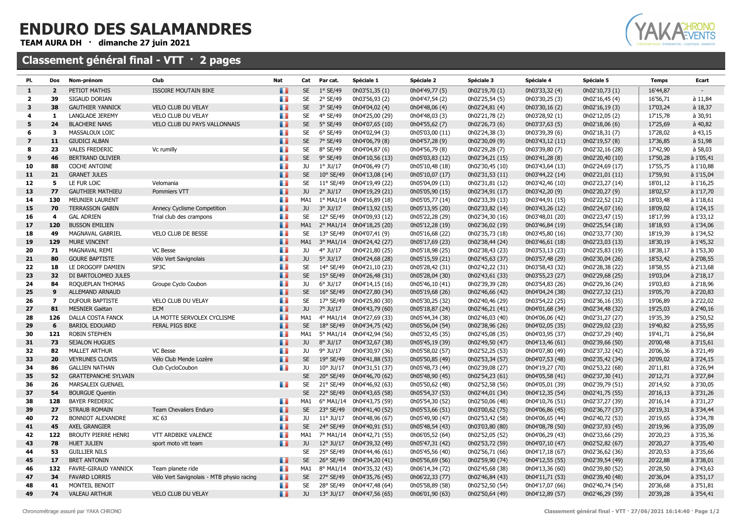## ENDURO DES SALAMANDRES

TEAM AURA DH · dimanche 27 juin 2021

## Classement général final - VTT · 2 pages



| PI.                     | Dos            | Nom-prénom                  | Club                                      | Nat        | Cat       | Par cat.           | Spéciale 1                | Spéciale 2      | Spéciale 3      | Spéciale 4      | Spéciale 5      | <b>Temps</b> | Ecart           |
|-------------------------|----------------|-----------------------------|-------------------------------------------|------------|-----------|--------------------|---------------------------|-----------------|-----------------|-----------------|-----------------|--------------|-----------------|
| $\mathbf{1}$            | $\overline{2}$ | PETIOT MATHIS               | <b>ISSOIRE MOUTAIN BIKE</b>               | H.         | <b>SE</b> | $1°$ SE/49         | 0h03'51,35 (1)            | 0h04'49,77 (5)  | 0h02'19,70 (1)  | 0h03'33,32 (4)  | 0h02'10,73 (1)  | 16'44,87     | $\sim$          |
| $\overline{2}$          | 39             | SIGAUD DORIAN               |                                           | т.         | <b>SE</b> | 2° SE/49           | 0h03'56,93 (2)            | 0h04'47,54 (2)  | 0h02'25,54 (5)  | 0h03'30,25 (3)  | 0h02'16,45 (4)  | 16'56,71     | à 11,84         |
| 3                       | 38             | <b>GAUTHIER YANNICK</b>     | <b>VELO CLUB DU VELAY</b>                 | ш          | <b>SE</b> | 3° SE/49           | 0h04'04,02 (4)            | 0h04'48,06 (4)  | 0h02'24,81 (4)  | 0h03'30,16 (2)  | 0h02'16,19 (3)  | 17'03,24     | $\dot{a}$ 18,37 |
| 4                       | 1              | LANGLADE JEREMY             | VELO CLUB DU VELAY                        | ۰.         | <b>SE</b> | 4° SE/49           | 0h04'25,00 (29)           | 0h04'48,03 (3)  | 0h02'21,78 (2)  | 0h03'28,92 (1)  | 0h02'12,05 (2)  | 17'15,78     | à 30,91         |
| 5                       | 24             | <b>BLACHERE NANS</b>        | <b>VELO CLUB DU PAYS VALLONNAIS</b>       | w          | <b>SE</b> | 5° SE/49           | 0h04'07,65 (10)           | 0h04'55,62 (7)  | 0h02'26,73 (6)  | 0h03'37,63 (5)  | 0h02'18,06 (6)  | 17'25,69     | $a$ 40,82       |
| 6                       | 3              | MASSALOUX LOIC              |                                           | ۰.         | <b>SE</b> | 6° SE/49           | 0h04'02,94 (3)            | 0h05'03,00 (11) | 0h02'24,38 (3)  | 0h03'39,39 (6)  | 0h02'18,31 (7)  | 17'28,02     | à 43,15         |
| $\overline{\mathbf{z}}$ | 11             | <b>GIUDICI ALBAN</b>        |                                           | w          | <b>SE</b> | 7° SE/49           | 0h04'06,79 (8)            | 0h04'57,28 (9)  | 0h02'30,09 (9)  | 0h03'43,12 (11) | 0h02'19,57 (8)  | 17'36,85     | a 51,98         |
| 8                       | 23             | <b>VALES FREDERIC</b>       | Vc rumilly                                | ٠.         | <b>SE</b> | 8° SE/49           | 0h04'04,87 (6)            | 0h04'56,79 (8)  | 0h02'29,28 (7)  | 0h03'39,80 (7)  | 0h02'32,16 (28) | 17'42,90     | à 58,03         |
| 9                       | 46             | <b>BERTRAND OLIVIER</b>     |                                           | n.         | <b>SE</b> | 9° SE/49           | 0h04'10,56 (13)           | 0h05'03,83 (12) | 0h02'34,21 (15) | 0h03'41,28 (8)  | 0h02'20,40 (10) | 17'50,28     | à 1'05,41       |
| 10                      | 88             | <b>COCHE ANTOINE</b>        |                                           | H          | JU        | $1°$ JU/17         | 0h04'06,49 (7)            | 0h05'10,48 (18) | 0h02'30,45 (10) | 0h03'43,64 (13) | 0h02'24,69 (17) | 17'55,75     | à 1'10,88       |
| 11                      | 21             | <b>GRANET JULES</b>         |                                           | <b>FR</b>  | <b>SE</b> | $10^{\circ}$ SE/49 | 0h04'13,08 (14)           | 0h05'10,07 (17) | 0h02'31,53 (11) | 0h03'44,22 (14) | 0h02'21,01 (11) | 17'59,91     | à 1'15,04       |
| 12                      | 5              | LE FUR LOÏC                 | Velomania                                 | M.         | <b>SE</b> | 11° SE/49          | 0h04'19,49 (22)           | 0h05'04,09 (13) | 0h02'31,81 (12) | 0h03'42,46 (10) | 0h02'23,27 (14) | 18'01,12     | à 1'16,25       |
| 13                      | 77             | <b>GAUTHIER MATHIEU</b>     | Pommiers VTT                              | w          | JU        | $2°$ JU/17         | 0h04'19,29 (21)           | 0h05'05,90 (15) | 0h02'34,91 (17) | 0h03'42,20 (9)  | 0h02'20,27 (9)  | 18'02,57     | à 1'17,70       |
| 14                      | 130            | <b>MEUNIER LAURENT</b>      |                                           | ۰.         | MA1       | $1^{\circ}$ MA1/14 | 0h04'16,89 (18)           | 0h05'05,77 (14) | 0h02'33,39 (13) | 0h03'44,91 (15) | 0h02'22,52 (12) | 18'03,48     | à 1'18,61       |
| 15                      | 70             | <b>TERRASSON GABIN</b>      | <b>Annecy Cyclisme Competition</b>        | a.         | JU        | $3°$ JU/17         | 0h04'13,92 (15)           | 0h05'13,95 (20) | 0h02'33,82 (14) | 0h03'43,26 (12) | 0h02'24,07 (16) | 18'09,02     | à 1'24,15       |
| 16                      | $\overline{4}$ | <b>GAL ADRIEN</b>           | Trial club des crampons                   | ۰.         | <b>SE</b> | 12° SE/49          | 0h04'09,93 (12)           | 0h05'22,28 (29) | 0h02'34,30 (16) | 0h03'48,01 (20) | 0h02'23,47 (15) | 18'17,99     | à 1'33,12       |
| 17                      | 120            | <b>BUSSON EMILIEN</b>       |                                           | a.         | MA1       |                    | 2° MA1/14 0h04'18,25 (20) | 0h05'12,28 (19) | 0h02'36,02 (19) | 0h03'46,84 (19) | 0h02'25,54 (18) | 18'18,93     | à 1'34,06       |
| 18                      | 49             | <b>MAGNAVAL GABRIEL</b>     | <b>VELO CLUB DE BESSE</b>                 | ш.         | <b>SE</b> | 13° SE/49          | 0h04'07,41 (9)            | 0h05'16,68 (22) | 0h02'35,73 (18) | 0h03'45,80 (16) | 0h02'33,77 (30) | 18'19,39     | à 1'34,52       |
| 19                      | 129            | <b>MURE VINCENT</b>         |                                           | <b>THE</b> | MA1       |                    | 3° MA1/14 0h04'24,42 (27) | 0h05'17,69 (23) | 0h02'38,44 (24) | 0h03'46,61 (18) | 0h02'23,03 (13) | 18'30,19     | à 1'45,32       |
| 20                      | 71             | MAGNAVAL REMI               | <b>VC Besse</b>                           | ۰.         | JU.       | 4° JU/17           | 0h04'21,80 (25)           | 0h05'18,98 (25) | 0h02'38,43 (23) | 0h03'53,13 (23) | 0h02'25,83 (19) | 18'38,17     | à 1'53,30       |
| 21                      | 80             | <b>GOURE BAPTISTE</b>       | Vélo Vert Savignolais                     | <b>B</b>   | JU        | $5^\circ$ JU/17    | 0h04'24,68 (28)           | 0h05'15,59 (21) | 0h02'45,63 (37) | 0h03'57,48 (29) | 0h02'30,04 (26) | 18'53,42     | à 2'08,55       |
| 22                      | 18             | LE DROGOFF DAMIEN           | SP3C                                      | ۰.         | <b>SE</b> | 14° SE/49          | 0h04'21,10 (23)           | 0h05'28,42 (31) | 0h02'42,22 (31) | 0h03'58,43 (32) | 0h02'28,38 (22) | 18'58,55     | à 2'13,68       |
| 23                      | 32             | DI BARTOLOMEO JULES         |                                           | п.         | <b>SE</b> | 15° SE/49          | 0h04'26,48 (31)           | 0h05'28,04 (30) | 0h02'43,61 (33) | 0h03'55,23 (27) | 0h02'29,68 (25) | 19'03,04     | à 2'18,17       |
| 24                      | 84             | ROQUEPLAN THOMAS            | Groupe Cyclo Coubon                       | ۰.         | JU        | $6^{\circ}$ JU/17  | 0h04'14,15 (16)           | 0h05'46,10 (41) | 0h02'39,39 (28) | 0h03'54,83 (26) | 0h02'29,36 (24) | 19'03,83     | à 2'18,96       |
| 25                      | 9              | ALLEMAND ARNAUD             |                                           | <b>THE</b> | <b>SE</b> | $16^{\circ}$ SE/49 | 0h04'27,80 (34)           | 0h05'19,68 (26) | 0h02'46,66 (42) | 0h04'04,24 (38) | 0h02'27,32 (21) | 19'05,70     | à 2'20,83       |
| 26                      | $\overline{7}$ | <b>DUFOUR BAPTISTE</b>      | VELO CLUB DU VELAY                        | ш.         | <b>SE</b> | 17° SE/49          | 0h04'25,80 (30)           | 0h05'30,25 (32) | 0h02'40,46 (29) | 0h03'54,22 (25) | 0h02'36,16 (35) | 19'06,89     | à 2'22,02       |
| 27                      | 81             | <b>MESNIER Gaëtan</b>       | <b>ECM</b>                                | ш          | JU        | 7° JU/17           | 0h04'43,79 (60)           | 0h05'18,87 (24) | 0h02'46,21 (41) | 0h04'01,68 (34) | 0h02'34,48 (32) | 19'25,03     | à 2'40,16       |
| 28                      | 126            | DALLA COSTA FANCK           | LA MOTTE SERVOLEX CYCLISME                | ш.         | MA1       | 4° MA1/14          | 0h04'27,69 (33)           | 0h05'44,34 (38) | 0h02'46,03 (40) | 0h04'06,06 (42) | 0h02'31,27 (27) | 19'35,39     | à 2'50,52       |
| 29                      | 6              | <b>BARIOL EDOUARD</b>       | FERAL PIGS BIKE                           | m          | <b>SE</b> | 18° SE/49          | 0h04'34,75 (42)           | 0h05'56,04 (54) | 0h02'38,96 (26) | 0h04'02,05 (35) | 0h02'29,02 (23) | 19'40,82     | à 2'55,95       |
| 30                      | 121            | ROBIN STEPHEN               |                                           | ш.         | MA1       | 5° MA1/14          | 0h04'42,94 (56)           | 0h05'32,45 (35) | 0h02'45,08 (35) | 0h04'03,95 (37) | 0h02'37,29 (40) | 19'41,71     | à 2'56,84       |
| 31                      | 73             | <b>SEJALON HUGUES</b>       |                                           | <b>B</b>   | JU        | $8°$ JU/17         | 0h04'32,67 (38)           | 0h05'45,19 (39) | 0h02'49,50 (47) | 0h04'13,46 (61) | 0h02'39,66 (50) | 20'00,48     | à 3'15,61       |
| 32                      | 82             | MALLET ARTHUR               | <b>VC Besse</b>                           | ٠.         | JU        | 9° JU/17           | 0h04'30,97 (36)           | 0h05'58,02 (57) | 0h02'52,25 (53) | 0h04'07,80 (49) | 0h02'37,32 (42) | 20'06,36     | à 3'21,49       |
| 33                      | 20             | <b>VEYRUNES CLOVIS</b>      | Vélo Club Mende Lozère                    | <b>THE</b> | <b>SE</b> | 19° SE/49          | 0h04'41,88 (53)           | 0h05'50,85 (49) | 0h02'53,34 (57) | 0h04'07,53 (48) | 0h02'35,42 (34) | 20'09,02     | à 3'24,15       |
| 34                      | 86             | <b>GALLIEN NATHAN</b>       | Club CycloCoubon                          | ٠.         | JU        | $10^{\circ}$ JU/17 | 0h04'31,51 (37)           | 0h05'48,73 (44) | 0h02'39,08 (27) | 0h04'19,27 (70) | 0h02'53,22 (68) | 20'11,81     | à 3'26,94       |
| 35                      | 52             | <b>GRATTEPANCHE SYLVAIN</b> |                                           |            | <b>SE</b> | 20° SE/49          | 0h04'46,70 (62)           | 0h05'48,90 (45) | 0h02'54,23 (61) | 0h04'05,58 (41) | 0h02'37,30 (41) | 20'12,71     | à 3'27,84       |
| 36                      | 26             | MARSALEIX GUENAEL           |                                           | ۰.         | <b>SE</b> | 21° SE/49          | 0h04'46,92 (63)           | 0h05'50,62 (48) | 0h02'52,58 (56) | 0h04'05,01 (39) | 0h02'39,79 (51) | 20'14,92     | à 3'30,05       |
| 37                      | 54             | <b>BOURGUE Quentin</b>      |                                           |            | <b>SE</b> | 22° SE/49          | 0h04'43,65 (58)           | 0h05'54,37 (53) | 0h02'44,01 (34) | 0h04'12,35 (54) | 0h02'41,75 (55) | 20'16,13     | à 3'31,26       |
| 38                      | 128            | <b>BAYER FREDERIC</b>       |                                           | ٠.         | MA1       | 6° MA1/14          | 0h04'43,75 (59)           | 0h05'54,30 (52) | 0h02'50,06 (48) | 0h04'10,76 (51) | 0h02'37,27 (39) | 20'16,14     | à 3'31,27       |
| 39                      | 27             | <b>STRAUB ROMAIN</b>        | Team Chevaliers Enduro                    | a.         | <b>SE</b> | 23° SE/49          | 0h04'41,40 (52)           | 0h05'53,66 (51) | 0h03'00,62 (75) | 0h04'06,86 (45) | 0h02'36,77 (37) | 20'19,31     | à 3'34,44       |
| 40                      | 72             | BONNIOT ALEXANDRE           | XC 63                                     | ш.         | JU        | $11^{\circ}$ JU/17 | 0h04'48,96 (67)           | 0h05'49,90 (47) | 0h02'53,42 (58) | 0h04'06,65 (44) | 0h02'40,72 (53) | 20'19,65     | à 3'34,78       |
| 41                      | 45             | <b>AXEL GRANGIER</b>        |                                           | <b>A</b>   | <b>SE</b> | 24° SE/49          | 0h04'40,91 (51)           | 0h05'48,54 (43) | 0h03'03,80 (80) | 0h04'08,78 (50) | 0h02'37,93 (45) | 20'19,96     | à 3'35,09       |
| 42                      | 122            | BROUTY PIERRE HENRI         | VTT ARDBIKE VALENCE                       | ш.         | MA1       | 7° MA1/14          | 0h04'42,71 (55)           | 0h06'05,52 (64) | 0h02'52,05 (52) | 0h04'06,29 (43) | 0h02'33,66 (29) | 20'20,23     | à 3'35,36       |
| 43                      | 78             | <b>HUET JULIEN</b>          | sport moto vtt team                       |            | JU        | $12^{\circ}$ JU/17 | 0h04'39,32 (49)           | 0h05'47,31 (42) | 0h02'53,72 (59) | 0h04'07,10 (47) | 0h02'52,82 (67) | 20'20,27     | à 3'35,40       |
| 44                      | 53             | <b>GUILLIER NILS</b>        |                                           |            | SE        | 25° SE/49          | 0h04'44,46 (61)           | 0h05'45,56 (40) | 0h02'56,71 (66) | 0h04'17,18 (67) | 0h02'36,62 (36) | 20'20,53     | à 3'35,66       |
| 45                      | 17             | <b>BRET ANTONIN</b>         |                                           | <b>B</b> 1 | <b>SE</b> | 26° SE/49          | 0h04'34,20 (41)           | 0h05'56,69 (56) | 0h02'59,90 (74) | 0h04'12,55 (55) | 0h02'39,54 (49) | 20'22,88     | à 3'38,01       |
| 46                      | 132            | FAVRE-GIRAUD YANNICK        | Team planete ride                         | ٠.         | MA1       | 8° MA1/14          | 0h04'35,32 (43)           | 0h06'14,34 (72) | 0h02'45,68 (38) | 0h04'13,36 (60) | 0h02'39,80 (52) | 20'28,50     | à 3'43,63       |
| 47                      | 34             | <b>FAVARD LORRIS</b>        | Vélo Vert Savignolais - MTB physio racing | n.         | <b>SE</b> | 27° SE/49          | 0h04'35,76 (45)           | 0h06'22,33 (77) | 0h02'46,84 (43) | 0h04'11,71 (53) | 0h02'39,40 (48) | 20'36,04     | à 3'51,17       |
| 48                      | 41             | MONTEIL BENOIT              |                                           | ٠.         | SE        | 28° SE/49          | 0h04'47,48 (64)           | 0h05'58,89 (58) | 0h02'52,50 (54) | 0h04'17,07 (66) | 0h02'40,74 (54) | 20'36,68     | à 3'51,81       |
| 49                      | 74             | <b>VALEAU ARTHUR</b>        | <b>VELO CLUB DU VELAY</b>                 | . .        | JU        | $13^{\circ}$ JU/17 | 0h04'47,56 (65)           | 0h06'01,90 (63) | 0h02'50,64 (49) | 0h04'12,89 (57) | 0h02'46,29 (59) | 20'39,28     | à 3'54,41       |